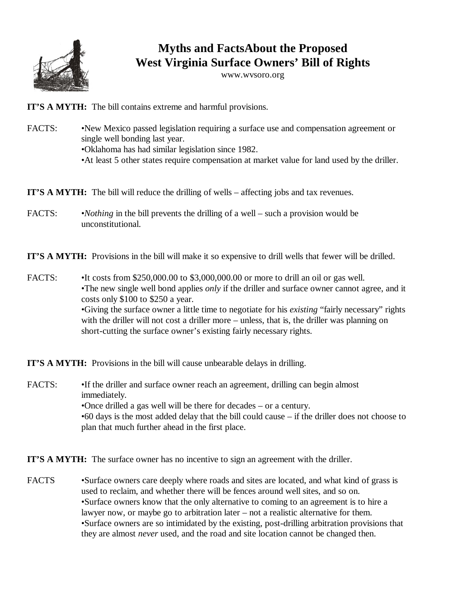

## **Myths and FactsAbout the Proposed West Virginia Surface Owners' Bill of Rights**

www.wvsoro.org

**IT'S A MYTH:** The bill contains extreme and harmful provisions.

FACTS: • • New Mexico passed legislation requiring a surface use and compensation agreement or single well bonding last year. •Oklahoma has had similar legislation since 1982. •At least 5 other states require compensation at market value for land used by the driller.

**IT'S A MYTH:** The bill will reduce the drilling of wells – affecting jobs and tax revenues.

FACTS: •*Nothing* in the bill prevents the drilling of a well – such a provision would be unconstitutional.

**IT'S A MYTH:** Provisions in the bill will make it so expensive to drill wells that fewer will be drilled.

FACTS: •It costs from \$250,000.00 to \$3,000,000.00 or more to drill an oil or gas well. •The new single well bond applies *only* if the driller and surface owner cannot agree, and it costs only \$100 to \$250 a year. •Giving the surface owner a little time to negotiate for his *existing* "fairly necessary" rights with the driller will not cost a driller more – unless, that is, the driller was planning on short-cutting the surface owner's existing fairly necessary rights.

**IT'S A MYTH:** Provisions in the bill will cause unbearable delays in drilling.

FACTS: •If the driller and surface owner reach an agreement, drilling can begin almost immediately. •Once drilled a gas well will be there for decades – or a century. •60 days is the most added delay that the bill could cause – if the driller does not choose to plan that much further ahead in the first place.

**IT'S A MYTH:** The surface owner has no incentive to sign an agreement with the driller.

FACTS •Surface owners care deeply where roads and sites are located, and what kind of grass is used to reclaim, and whether there will be fences around well sites, and so on. •Surface owners know that the only alternative to coming to an agreement is to hire a lawyer now, or maybe go to arbitration later – not a realistic alternative for them. •Surface owners are so intimidated by the existing, post-drilling arbitration provisions that they are almost *never* used, and the road and site location cannot be changed then.